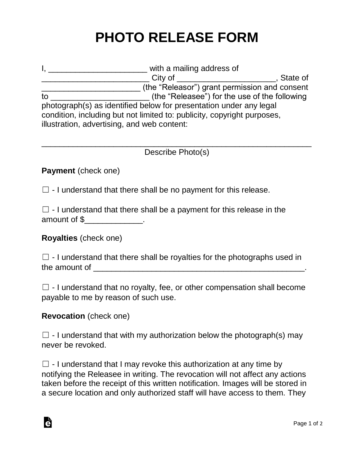# **PHOTO RELEASE FORM**

|                                                                         | with a mailing address of |                                               |            |
|-------------------------------------------------------------------------|---------------------------|-----------------------------------------------|------------|
|                                                                         | City of                   |                                               | . State of |
|                                                                         |                           | (the "Releasor") grant permission and consent |            |
| to                                                                      |                           | (the "Releasee") for the use of the following |            |
| photograph(s) as identified below for presentation under any legal      |                           |                                               |            |
| condition, including but not limited to: publicity, copyright purposes, |                           |                                               |            |
| illustration, advertising, and web content:                             |                           |                                               |            |

#### $\_$  , and the set of the set of the set of the set of the set of the set of the set of the set of the set of the set of the set of the set of the set of the set of the set of the set of the set of the set of the set of th Describe Photo(s)

## **Payment** (check one)

 $\Box$  - I understand that there shall be no payment for this release.

|              | $\Box$ - I understand that there shall be a payment for this release in the |
|--------------|-----------------------------------------------------------------------------|
| amount of \$ |                                                                             |

## **Royalties** (check one)

 $\Box$  - I understand that there shall be royalties for the photographs used in the amount of \_\_\_\_\_\_\_\_\_\_\_\_\_\_\_\_\_\_\_\_\_\_\_\_\_\_\_\_\_\_\_\_\_\_\_\_\_\_\_\_\_\_\_\_\_\_\_.

 $\Box$  - I understand that no royalty, fee, or other compensation shall become payable to me by reason of such use.

## **Revocation** (check one)

Ġ

 $\Box$  - I understand that with my authorization below the photograph(s) may never be revoked.

 $\Box$  - I understand that I may revoke this authorization at any time by notifying the Releasee in writing. The revocation will not affect any actions taken before the receipt of this written notification. Images will be stored in a secure location and only authorized staff will have access to them. They